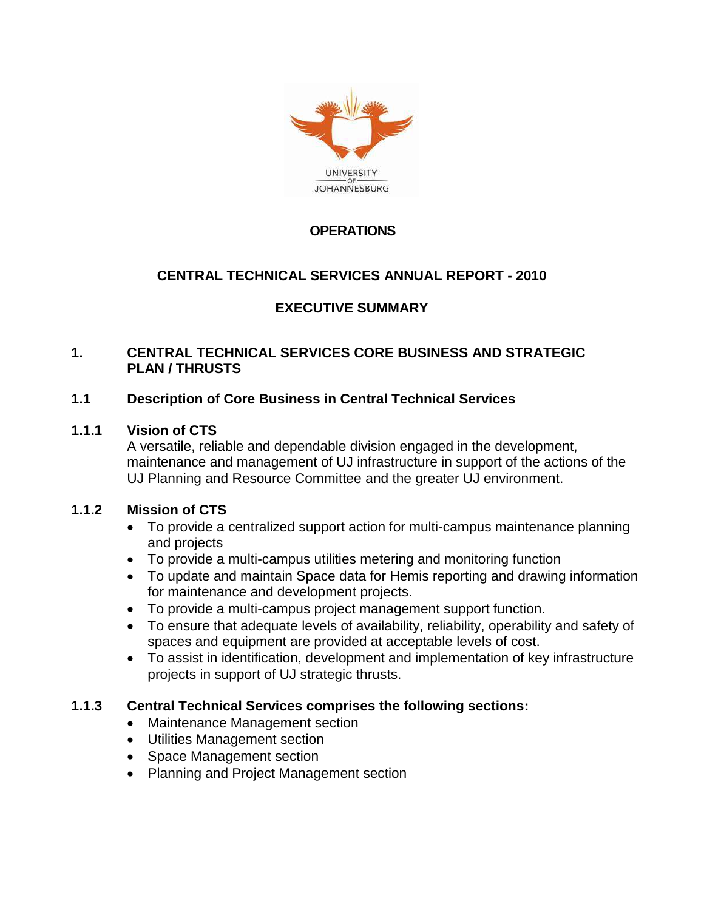

## **OPERATIONS**

## **CENTRAL TECHNICAL SERVICES ANNUAL REPORT - 2010**

# **EXECUTIVE SUMMARY**

#### **1. CENTRAL TECHNICAL SERVICES CORE BUSINESS AND STRATEGIC PLAN / THRUSTS**

#### **1.1 Description of Core Business in Central Technical Services**

#### **1.1.1 Vision of CTS**

A versatile, reliable and dependable division engaged in the development, maintenance and management of UJ infrastructure in support of the actions of the UJ Planning and Resource Committee and the greater UJ environment.

#### **1.1.2 Mission of CTS**

- To provide a centralized support action for multi-campus maintenance planning and projects
- To provide a multi-campus utilities metering and monitoring function
- To update and maintain Space data for Hemis reporting and drawing information for maintenance and development projects.
- To provide a multi-campus project management support function.
- To ensure that adequate levels of availability, reliability, operability and safety of spaces and equipment are provided at acceptable levels of cost.
- To assist in identification, development and implementation of key infrastructure projects in support of UJ strategic thrusts.

#### **1.1.3 Central Technical Services comprises the following sections:**

- Maintenance Management section
- Utilities Management section
- Space Management section
- Planning and Project Management section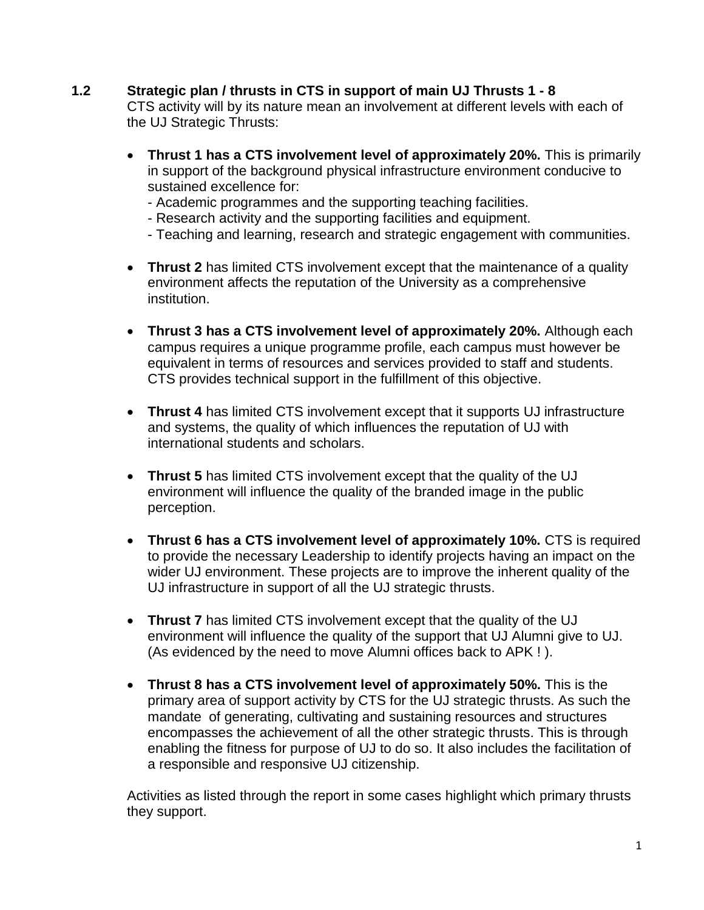#### **1.2 Strategic plan / thrusts in CTS in support of main UJ Thrusts 1 - 8**

CTS activity will by its nature mean an involvement at different levels with each of the UJ Strategic Thrusts:

- **Thrust 1 has a CTS involvement level of approximately 20%.** This is primarily in support of the background physical infrastructure environment conducive to sustained excellence for:
	- Academic programmes and the supporting teaching facilities.
	- Research activity and the supporting facilities and equipment.
	- Teaching and learning, research and strategic engagement with communities.
- **Thrust 2** has limited CTS involvement except that the maintenance of a quality environment affects the reputation of the University as a comprehensive institution.
- **Thrust 3 has a CTS involvement level of approximately 20%.** Although each campus requires a unique programme profile, each campus must however be equivalent in terms of resources and services provided to staff and students. CTS provides technical support in the fulfillment of this objective.
- **Thrust 4** has limited CTS involvement except that it supports UJ infrastructure and systems, the quality of which influences the reputation of UJ with international students and scholars.
- **Thrust 5** has limited CTS involvement except that the quality of the UJ environment will influence the quality of the branded image in the public perception.
- **Thrust 6 has a CTS involvement level of approximately 10%.** CTS is required to provide the necessary Leadership to identify projects having an impact on the wider UJ environment. These projects are to improve the inherent quality of the UJ infrastructure in support of all the UJ strategic thrusts.
- **Thrust 7** has limited CTS involvement except that the quality of the UJ environment will influence the quality of the support that UJ Alumni give to UJ. (As evidenced by the need to move Alumni offices back to APK ! ).
- **Thrust 8 has a CTS involvement level of approximately 50%.** This is the primary area of support activity by CTS for the UJ strategic thrusts. As such the mandate of generating, cultivating and sustaining resources and structures encompasses the achievement of all the other strategic thrusts. This is through enabling the fitness for purpose of UJ to do so. It also includes the facilitation of a responsible and responsive UJ citizenship.

Activities as listed through the report in some cases highlight which primary thrusts they support.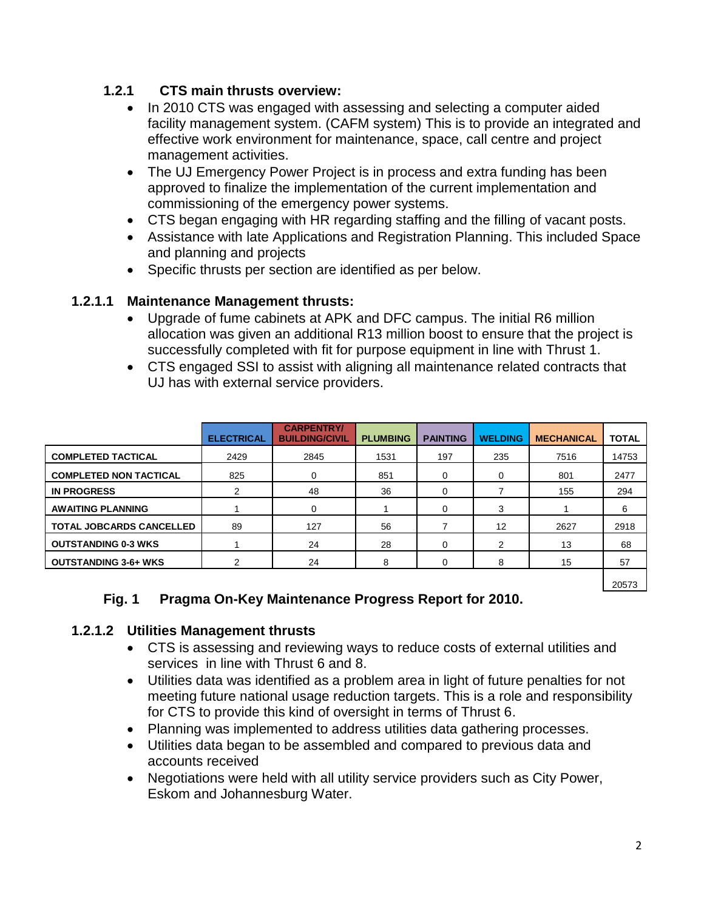## **1.2.1 CTS main thrusts overview:**

- In 2010 CTS was engaged with assessing and selecting a computer aided facility management system. (CAFM system) This is to provide an integrated and effective work environment for maintenance, space, call centre and project management activities.
- The UJ Emergency Power Project is in process and extra funding has been approved to finalize the implementation of the current implementation and commissioning of the emergency power systems.
- CTS began engaging with HR regarding staffing and the filling of vacant posts.
- Assistance with late Applications and Registration Planning. This included Space and planning and projects
- Specific thrusts per section are identified as per below.

### **1.2.1.1 Maintenance Management thrusts:**

- Upgrade of fume cabinets at APK and DFC campus. The initial R6 million allocation was given an additional R13 million boost to ensure that the project is successfully completed with fit for purpose equipment in line with Thrust 1.
- CTS engaged SSI to assist with aligning all maintenance related contracts that UJ has with external service providers.

|                                 | <b>ELECTRICAL</b> | <b>CARPENTRY/</b><br><b>BUILDING/CIVIL</b> | <b>PLUMBING</b> | <b>PAINTING</b> | <b>WELDING</b>    | <b>MECHANICAL</b> | <b>TOTAL</b> |
|---------------------------------|-------------------|--------------------------------------------|-----------------|-----------------|-------------------|-------------------|--------------|
| <b>COMPLETED TACTICAL</b>       | 2429              | 2845                                       | 1531            | 197             | 235               | 7516              | 14753        |
| <b>COMPLETED NON TACTICAL</b>   | 825               |                                            | 851             | 0               | 0                 | 801               | 2477         |
| <b>IN PROGRESS</b>              | 2                 | 48                                         | 36              | 0               |                   | 155               | 294          |
| <b>AWAITING PLANNING</b>        |                   | $\Omega$                                   |                 | 0               | 3                 |                   | 6            |
| <b>TOTAL JOBCARDS CANCELLED</b> | 89                | 127                                        | 56              |                 | $12 \overline{ }$ | 2627              | 2918         |
| <b>OUTSTANDING 0-3 WKS</b>      |                   | 24                                         | 28              | 0               | 2                 | 13                | 68           |
| <b>OUTSTANDING 3-6+ WKS</b>     |                   | 24                                         | 8               |                 |                   | 15                | 57           |

**Fig. 1 Pragma On-Key Maintenance Progress Report for 2010.**

### **1.2.1.2 Utilities Management thrusts**

- CTS is assessing and reviewing ways to reduce costs of external utilities and services in line with Thrust 6 and 8.
- Utilities data was identified as a problem area in light of future penalties for not meeting future national usage reduction targets. This is a role and responsibility for CTS to provide this kind of oversight in terms of Thrust 6.
- Planning was implemented to address utilities data gathering processes.
- Utilities data began to be assembled and compared to previous data and accounts received
- Negotiations were held with all utility service providers such as City Power, Eskom and Johannesburg Water.

20573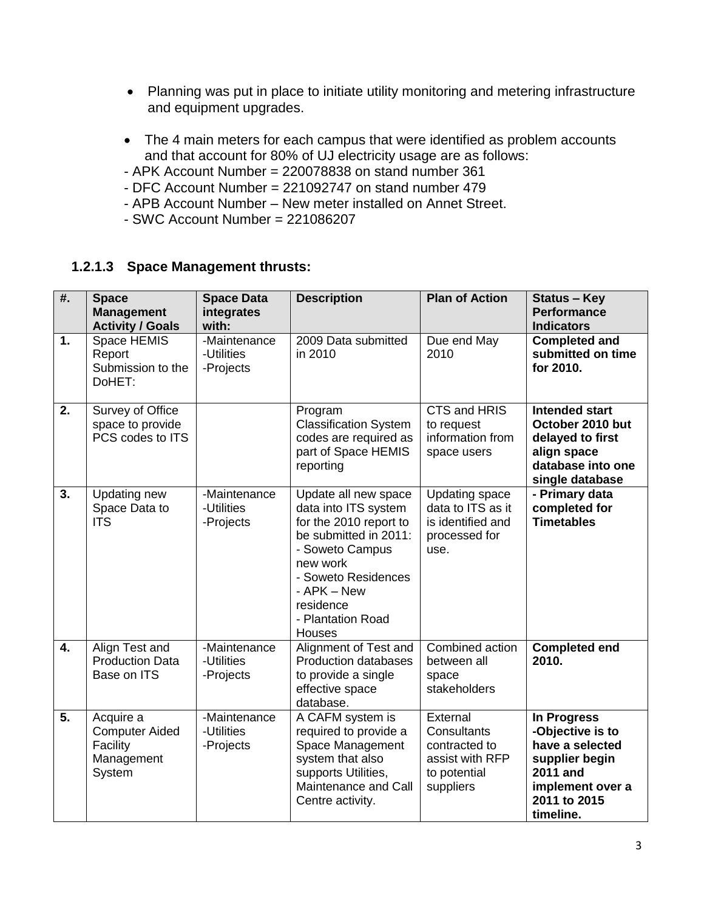- Planning was put in place to initiate utility monitoring and metering infrastructure and equipment upgrades.
- The 4 main meters for each campus that were identified as problem accounts and that account for 80% of UJ electricity usage are as follows:
- APK Account Number = 220078838 on stand number 361
- DFC Account Number = 221092747 on stand number 479
- APB Account Number New meter installed on Annet Street.
- $-$  SWC Account Number = 221086207

### **1.2.1.3 Space Management thrusts:**

| #. | <b>Space</b><br><b>Management</b><br><b>Activity / Goals</b>           | <b>Space Data</b><br>integrates<br>with: | <b>Description</b>                                                                                                                                                                                               | <b>Plan of Action</b>                                                                    | <b>Status - Key</b><br><b>Performance</b><br><b>Indicators</b>                                                                    |
|----|------------------------------------------------------------------------|------------------------------------------|------------------------------------------------------------------------------------------------------------------------------------------------------------------------------------------------------------------|------------------------------------------------------------------------------------------|-----------------------------------------------------------------------------------------------------------------------------------|
| 1. | Space HEMIS<br>Report<br>Submission to the<br>DoHET:                   | -Maintenance<br>-Utilities<br>-Projects  | 2009 Data submitted<br>in 2010                                                                                                                                                                                   | Due end May<br>2010                                                                      | <b>Completed and</b><br>submitted on time<br>for 2010.                                                                            |
| 2. | Survey of Office<br>space to provide<br>PCS codes to ITS               |                                          | Program<br><b>Classification System</b><br>codes are required as<br>part of Space HEMIS<br>reporting                                                                                                             | <b>CTS and HRIS</b><br>to request<br>information from<br>space users                     | <b>Intended start</b><br>October 2010 but<br>delayed to first<br>align space<br>database into one<br>single database              |
| 3. | Updating new<br>Space Data to<br><b>ITS</b>                            | -Maintenance<br>-Utilities<br>-Projects  | Update all new space<br>data into ITS system<br>for the 2010 report to<br>be submitted in 2011:<br>- Soweto Campus<br>new work<br>- Soweto Residences<br>- APK - New<br>residence<br>- Plantation Road<br>Houses | <b>Updating space</b><br>data to ITS as it<br>is identified and<br>processed for<br>use. | - Primary data<br>completed for<br><b>Timetables</b>                                                                              |
| 4. | Align Test and<br><b>Production Data</b><br>Base on ITS                | -Maintenance<br>-Utilities<br>-Projects  | Alignment of Test and<br><b>Production databases</b><br>to provide a single<br>effective space<br>database.                                                                                                      | Combined action<br>between all<br>space<br>stakeholders                                  | <b>Completed end</b><br>2010.                                                                                                     |
| 5. | Acquire a<br><b>Computer Aided</b><br>Facility<br>Management<br>System | -Maintenance<br>-Utilities<br>-Projects  | A CAFM system is<br>required to provide a<br>Space Management<br>system that also<br>supports Utilities,<br>Maintenance and Call<br>Centre activity.                                                             | External<br>Consultants<br>contracted to<br>assist with RFP<br>to potential<br>suppliers | In Progress<br>-Objective is to<br>have a selected<br>supplier begin<br>2011 and<br>implement over a<br>2011 to 2015<br>timeline. |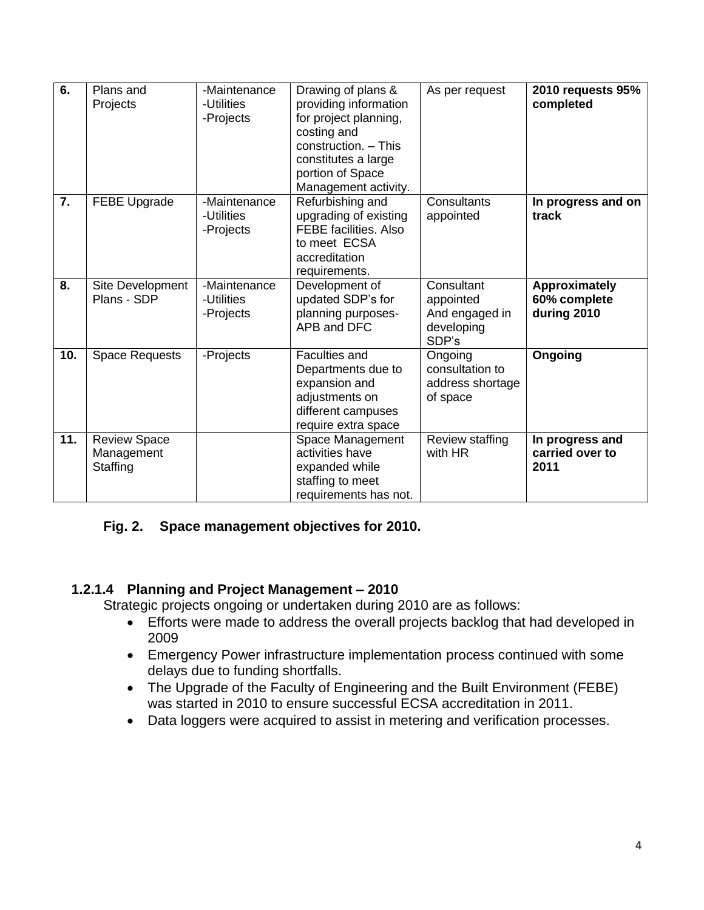| 6.  | Plans and<br>Projects                         | -Maintenance<br>-Utilities<br>-Projects | Drawing of plans &<br>providing information<br>for project planning,<br>costing and<br>construction. - This<br>constitutes a large<br>portion of Space<br>Management activity. | As per request                                                   | 2010 requests 95%<br>completed               |
|-----|-----------------------------------------------|-----------------------------------------|--------------------------------------------------------------------------------------------------------------------------------------------------------------------------------|------------------------------------------------------------------|----------------------------------------------|
| 7.  | FEBE Upgrade                                  | -Maintenance<br>-Utilities<br>-Projects | Refurbishing and<br>upgrading of existing<br><b>FEBE facilities. Also</b><br>to meet ECSA<br>accreditation<br>requirements.                                                    | Consultants<br>appointed                                         | In progress and on<br>track                  |
| 8.  | Site Development<br>Plans - SDP               | -Maintenance<br>-Utilities<br>-Projects | Development of<br>updated SDP's for<br>planning purposes-<br>APB and DFC                                                                                                       | Consultant<br>appointed<br>And engaged in<br>developing<br>SDP's | Approximately<br>60% complete<br>during 2010 |
| 10. | Space Requests                                | -Projects                               | <b>Faculties and</b><br>Departments due to<br>expansion and<br>adjustments on<br>different campuses<br>require extra space                                                     | Ongoing<br>consultation to<br>address shortage<br>of space       | Ongoing                                      |
| 11. | <b>Review Space</b><br>Management<br>Staffing |                                         | Space Management<br>activities have<br>expanded while<br>staffing to meet<br>requirements has not.                                                                             | Review staffing<br>with HR                                       | In progress and<br>carried over to<br>2011   |

## **Fig. 2. Space management objectives for 2010.**

## **1.2.1.4 Planning and Project Management – 2010**

Strategic projects ongoing or undertaken during 2010 are as follows:

- Efforts were made to address the overall projects backlog that had developed in 2009
- Emergency Power infrastructure implementation process continued with some delays due to funding shortfalls.
- The Upgrade of the Faculty of Engineering and the Built Environment (FEBE) was started in 2010 to ensure successful ECSA accreditation in 2011.
- Data loggers were acquired to assist in metering and verification processes.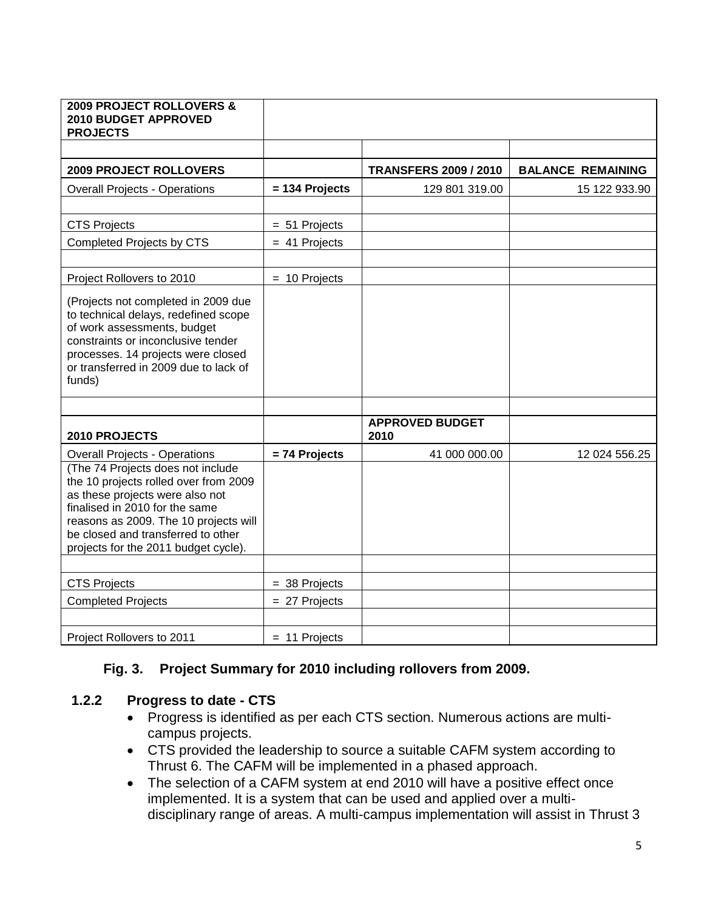| <b>2009 PROJECT ROLLOVERS &amp;</b><br>2010 BUDGET APPROVED<br><b>PROJECTS</b>                                                                                                                                                                                         |                  |                                |                          |
|------------------------------------------------------------------------------------------------------------------------------------------------------------------------------------------------------------------------------------------------------------------------|------------------|--------------------------------|--------------------------|
|                                                                                                                                                                                                                                                                        |                  |                                |                          |
| <b>2009 PROJECT ROLLOVERS</b>                                                                                                                                                                                                                                          |                  | <b>TRANSFERS 2009 / 2010</b>   | <b>BALANCE REMAINING</b> |
| <b>Overall Projects - Operations</b>                                                                                                                                                                                                                                   | $= 134$ Projects | 129 801 319.00                 | 15 122 933.90            |
|                                                                                                                                                                                                                                                                        |                  |                                |                          |
| <b>CTS Projects</b>                                                                                                                                                                                                                                                    | $= 51$ Projects  |                                |                          |
| Completed Projects by CTS                                                                                                                                                                                                                                              | $= 41$ Projects  |                                |                          |
|                                                                                                                                                                                                                                                                        |                  |                                |                          |
| Project Rollovers to 2010                                                                                                                                                                                                                                              | $= 10$ Projects  |                                |                          |
| (Projects not completed in 2009 due<br>to technical delays, redefined scope<br>of work assessments, budget<br>constraints or inconclusive tender<br>processes. 14 projects were closed<br>or transferred in 2009 due to lack of<br>funds)                              |                  |                                |                          |
|                                                                                                                                                                                                                                                                        |                  |                                |                          |
| 2010 PROJECTS                                                                                                                                                                                                                                                          |                  | <b>APPROVED BUDGET</b><br>2010 |                          |
| <b>Overall Projects - Operations</b>                                                                                                                                                                                                                                   | = 74 Projects    | 41 000 000.00                  | 12 024 556.25            |
| (The 74 Projects does not include<br>the 10 projects rolled over from 2009<br>as these projects were also not<br>finalised in 2010 for the same<br>reasons as 2009. The 10 projects will<br>be closed and transferred to other<br>projects for the 2011 budget cycle). |                  |                                |                          |
|                                                                                                                                                                                                                                                                        |                  |                                |                          |
| <b>CTS Projects</b>                                                                                                                                                                                                                                                    | $=$ 38 Projects  |                                |                          |
| <b>Completed Projects</b>                                                                                                                                                                                                                                              | $= 27$ Projects  |                                |                          |
|                                                                                                                                                                                                                                                                        |                  |                                |                          |
| Project Rollovers to 2011                                                                                                                                                                                                                                              | $= 11$ Projects  |                                |                          |

### **Fig. 3. Project Summary for 2010 including rollovers from 2009.**

#### **1.2.2 Progress to date - CTS**

- Progress is identified as per each CTS section. Numerous actions are multicampus projects.
- CTS provided the leadership to source a suitable CAFM system according to Thrust 6. The CAFM will be implemented in a phased approach.
- The selection of a CAFM system at end 2010 will have a positive effect once implemented. It is a system that can be used and applied over a multidisciplinary range of areas. A multi-campus implementation will assist in Thrust 3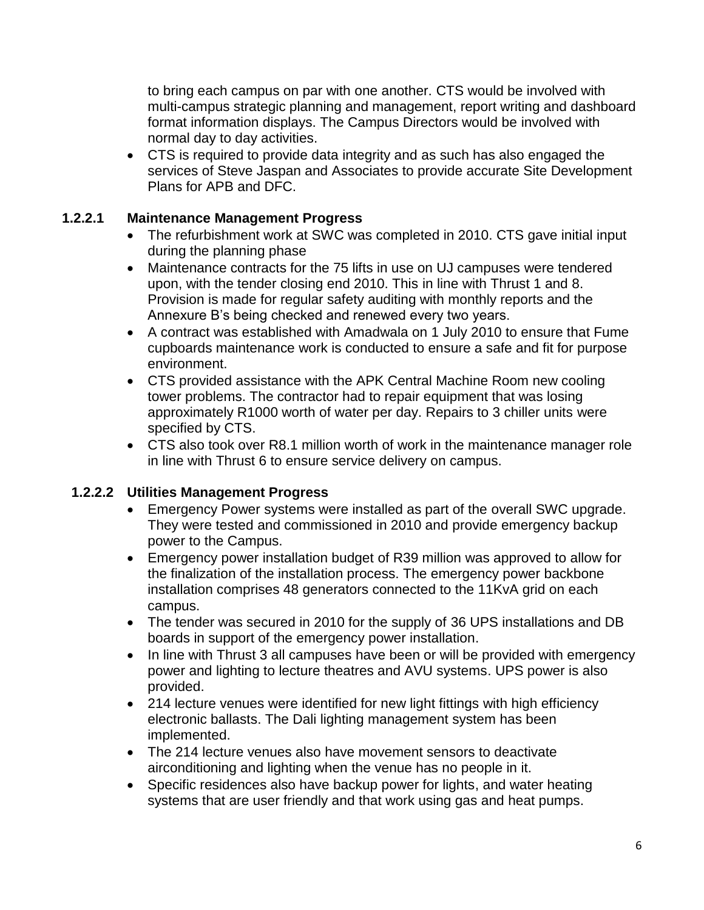to bring each campus on par with one another. CTS would be involved with multi-campus strategic planning and management, report writing and dashboard format information displays. The Campus Directors would be involved with normal day to day activities.

 CTS is required to provide data integrity and as such has also engaged the services of Steve Jaspan and Associates to provide accurate Site Development Plans for APB and DFC.

### **1.2.2.1 Maintenance Management Progress**

- The refurbishment work at SWC was completed in 2010. CTS gave initial input during the planning phase
- Maintenance contracts for the 75 lifts in use on UJ campuses were tendered upon, with the tender closing end 2010. This in line with Thrust 1 and 8. Provision is made for regular safety auditing with monthly reports and the Annexure B's being checked and renewed every two years.
- A contract was established with Amadwala on 1 July 2010 to ensure that Fume cupboards maintenance work is conducted to ensure a safe and fit for purpose environment.
- CTS provided assistance with the APK Central Machine Room new cooling tower problems. The contractor had to repair equipment that was losing approximately R1000 worth of water per day. Repairs to 3 chiller units were specified by CTS.
- CTS also took over R8.1 million worth of work in the maintenance manager role in line with Thrust 6 to ensure service delivery on campus.

### **1.2.2.2 Utilities Management Progress**

- Emergency Power systems were installed as part of the overall SWC upgrade. They were tested and commissioned in 2010 and provide emergency backup power to the Campus.
- Emergency power installation budget of R39 million was approved to allow for the finalization of the installation process. The emergency power backbone installation comprises 48 generators connected to the 11KvA grid on each campus.
- The tender was secured in 2010 for the supply of 36 UPS installations and DB boards in support of the emergency power installation.
- In line with Thrust 3 all campuses have been or will be provided with emergency power and lighting to lecture theatres and AVU systems. UPS power is also provided.
- 214 lecture venues were identified for new light fittings with high efficiency electronic ballasts. The Dali lighting management system has been implemented.
- The 214 lecture venues also have movement sensors to deactivate airconditioning and lighting when the venue has no people in it.
- Specific residences also have backup power for lights, and water heating systems that are user friendly and that work using gas and heat pumps.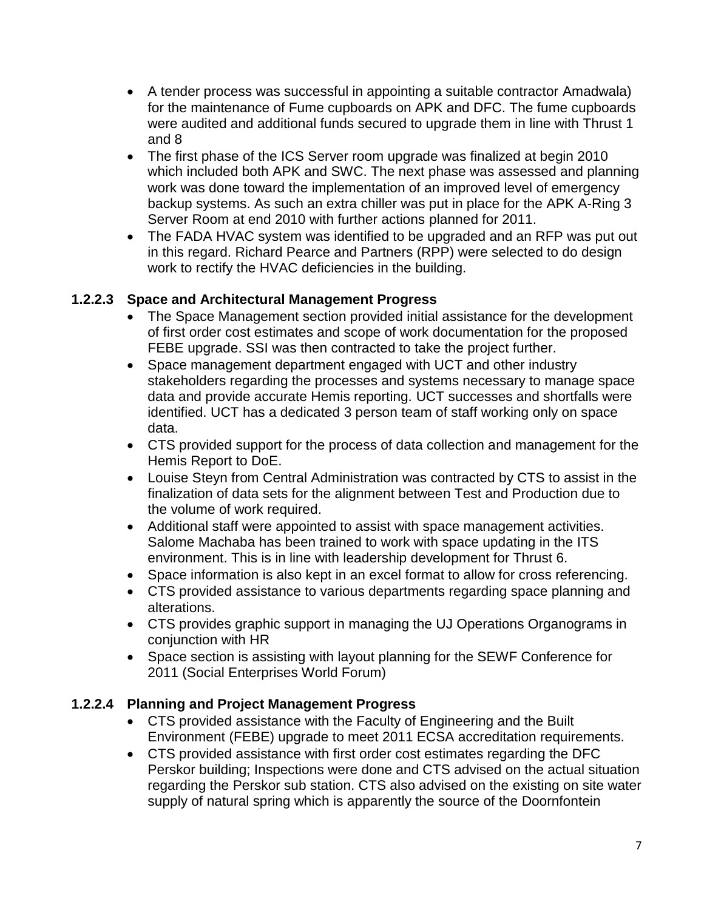- A tender process was successful in appointing a suitable contractor Amadwala) for the maintenance of Fume cupboards on APK and DFC. The fume cupboards were audited and additional funds secured to upgrade them in line with Thrust 1 and 8
- The first phase of the ICS Server room upgrade was finalized at begin 2010 which included both APK and SWC. The next phase was assessed and planning work was done toward the implementation of an improved level of emergency backup systems. As such an extra chiller was put in place for the APK A-Ring 3 Server Room at end 2010 with further actions planned for 2011.
- The FADA HVAC system was identified to be upgraded and an RFP was put out in this regard. Richard Pearce and Partners (RPP) were selected to do design work to rectify the HVAC deficiencies in the building.

## **1.2.2.3 Space and Architectural Management Progress**

- The Space Management section provided initial assistance for the development of first order cost estimates and scope of work documentation for the proposed FEBE upgrade. SSI was then contracted to take the project further.
- Space management department engaged with UCT and other industry stakeholders regarding the processes and systems necessary to manage space data and provide accurate Hemis reporting. UCT successes and shortfalls were identified. UCT has a dedicated 3 person team of staff working only on space data.
- CTS provided support for the process of data collection and management for the Hemis Report to DoE.
- Louise Steyn from Central Administration was contracted by CTS to assist in the finalization of data sets for the alignment between Test and Production due to the volume of work required.
- Additional staff were appointed to assist with space management activities. Salome Machaba has been trained to work with space updating in the ITS environment. This is in line with leadership development for Thrust 6.
- Space information is also kept in an excel format to allow for cross referencing.
- CTS provided assistance to various departments regarding space planning and alterations.
- CTS provides graphic support in managing the UJ Operations Organograms in conjunction with HR
- Space section is assisting with layout planning for the SEWF Conference for 2011 (Social Enterprises World Forum)

# **1.2.2.4 Planning and Project Management Progress**

- CTS provided assistance with the Faculty of Engineering and the Built Environment (FEBE) upgrade to meet 2011 ECSA accreditation requirements.
- CTS provided assistance with first order cost estimates regarding the DFC Perskor building; Inspections were done and CTS advised on the actual situation regarding the Perskor sub station. CTS also advised on the existing on site water supply of natural spring which is apparently the source of the Doornfontein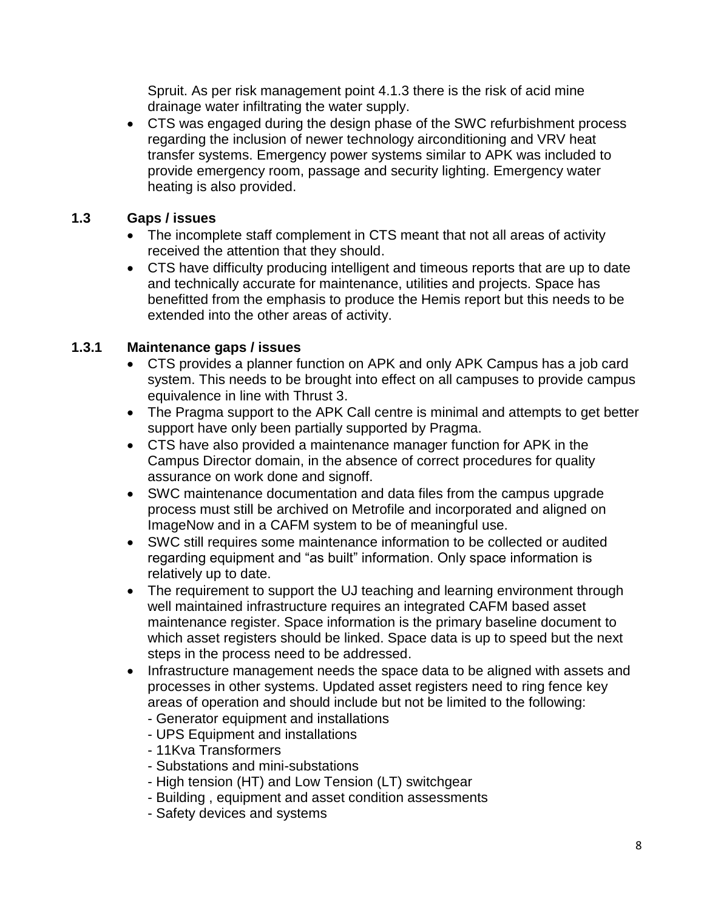Spruit. As per risk management point 4.1.3 there is the risk of acid mine drainage water infiltrating the water supply.

 CTS was engaged during the design phase of the SWC refurbishment process regarding the inclusion of newer technology airconditioning and VRV heat transfer systems. Emergency power systems similar to APK was included to provide emergency room, passage and security lighting. Emergency water heating is also provided.

## **1.3 Gaps / issues**

- The incomplete staff complement in CTS meant that not all areas of activity received the attention that they should.
- CTS have difficulty producing intelligent and timeous reports that are up to date and technically accurate for maintenance, utilities and projects. Space has benefitted from the emphasis to produce the Hemis report but this needs to be extended into the other areas of activity.

## **1.3.1 Maintenance gaps / issues**

- CTS provides a planner function on APK and only APK Campus has a job card system. This needs to be brought into effect on all campuses to provide campus equivalence in line with Thrust 3.
- The Pragma support to the APK Call centre is minimal and attempts to get better support have only been partially supported by Pragma.
- CTS have also provided a maintenance manager function for APK in the Campus Director domain, in the absence of correct procedures for quality assurance on work done and signoff.
- SWC maintenance documentation and data files from the campus upgrade process must still be archived on Metrofile and incorporated and aligned on ImageNow and in a CAFM system to be of meaningful use.
- SWC still requires some maintenance information to be collected or audited regarding equipment and "as built" information. Only space information is relatively up to date.
- The requirement to support the UJ teaching and learning environment through well maintained infrastructure requires an integrated CAFM based asset maintenance register. Space information is the primary baseline document to which asset registers should be linked. Space data is up to speed but the next steps in the process need to be addressed.
- Infrastructure management needs the space data to be aligned with assets and processes in other systems. Updated asset registers need to ring fence key areas of operation and should include but not be limited to the following:
	- Generator equipment and installations - UPS Equipment and installations
	-
	- 11Kva Transformers
	- Substations and mini-substations
	- High tension (HT) and Low Tension (LT) switchgear
	- Building , equipment and asset condition assessments
	- Safety devices and systems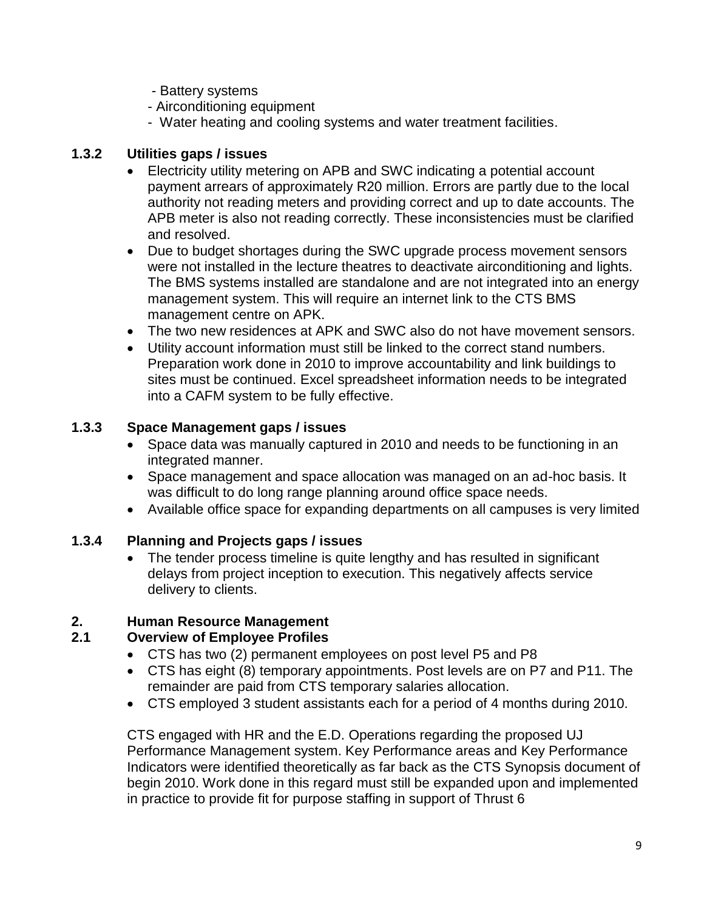- Battery systems
- Airconditioning equipment
- Water heating and cooling systems and water treatment facilities.

### **1.3.2 Utilities gaps / issues**

- Electricity utility metering on APB and SWC indicating a potential account payment arrears of approximately R20 million. Errors are partly due to the local authority not reading meters and providing correct and up to date accounts. The APB meter is also not reading correctly. These inconsistencies must be clarified and resolved.
- Due to budget shortages during the SWC upgrade process movement sensors were not installed in the lecture theatres to deactivate airconditioning and lights. The BMS systems installed are standalone and are not integrated into an energy management system. This will require an internet link to the CTS BMS management centre on APK.
- The two new residences at APK and SWC also do not have movement sensors.
- Utility account information must still be linked to the correct stand numbers. Preparation work done in 2010 to improve accountability and link buildings to sites must be continued. Excel spreadsheet information needs to be integrated into a CAFM system to be fully effective.

## **1.3.3 Space Management gaps / issues**

- Space data was manually captured in 2010 and needs to be functioning in an integrated manner.
- Space management and space allocation was managed on an ad-hoc basis. It was difficult to do long range planning around office space needs.
- Available office space for expanding departments on all campuses is very limited

# **1.3.4 Planning and Projects gaps / issues**

 The tender process timeline is quite lengthy and has resulted in significant delays from project inception to execution. This negatively affects service delivery to clients.

# **2. Human Resource Management**

### **2.1 Overview of Employee Profiles**

- CTS has two (2) permanent employees on post level P5 and P8
- CTS has eight (8) temporary appointments. Post levels are on P7 and P11. The remainder are paid from CTS temporary salaries allocation.
- CTS employed 3 student assistants each for a period of 4 months during 2010.

CTS engaged with HR and the E.D. Operations regarding the proposed UJ Performance Management system. Key Performance areas and Key Performance Indicators were identified theoretically as far back as the CTS Synopsis document of begin 2010. Work done in this regard must still be expanded upon and implemented in practice to provide fit for purpose staffing in support of Thrust 6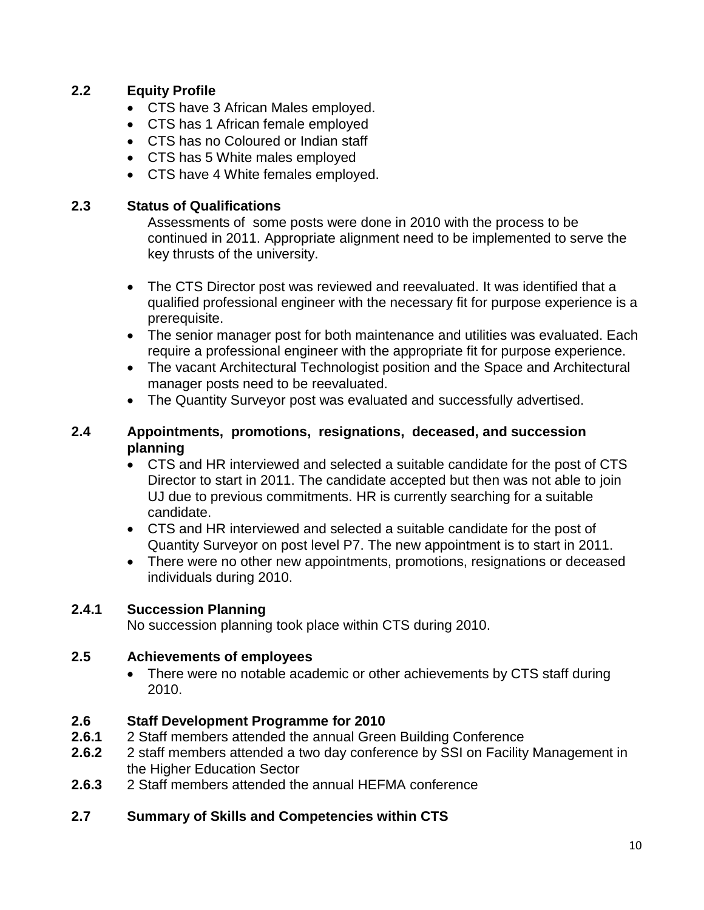### **2.2 Equity Profile**

- CTS have 3 African Males employed.
- CTS has 1 African female employed
- CTS has no Coloured or Indian staff
- CTS has 5 White males employed
- CTS have 4 White females employed.

#### **2.3 Status of Qualifications**

Assessments of some posts were done in 2010 with the process to be continued in 2011. Appropriate alignment need to be implemented to serve the key thrusts of the university.

- The CTS Director post was reviewed and reevaluated. It was identified that a qualified professional engineer with the necessary fit for purpose experience is a prerequisite.
- The senior manager post for both maintenance and utilities was evaluated. Each require a professional engineer with the appropriate fit for purpose experience.
- The vacant Architectural Technologist position and the Space and Architectural manager posts need to be reevaluated.
- The Quantity Surveyor post was evaluated and successfully advertised.

#### **2.4 Appointments, promotions, resignations, deceased, and succession planning**

- CTS and HR interviewed and selected a suitable candidate for the post of CTS Director to start in 2011. The candidate accepted but then was not able to join UJ due to previous commitments. HR is currently searching for a suitable candidate.
- CTS and HR interviewed and selected a suitable candidate for the post of Quantity Surveyor on post level P7. The new appointment is to start in 2011.
- There were no other new appointments, promotions, resignations or deceased individuals during 2010.

### **2.4.1 Succession Planning**

No succession planning took place within CTS during 2010.

### **2.5 Achievements of employees**

• There were no notable academic or other achievements by CTS staff during 2010.

### **2.6 Staff Development Programme for 2010**

- **2.6.1** 2 Staff members attended the annual Green Building Conference
- **2.6.2** 2 staff members attended a two day conference by SSI on Facility Management in the Higher Education Sector
- **2.6.3** 2 Staff members attended the annual HEFMA conference

### **2.7 Summary of Skills and Competencies within CTS**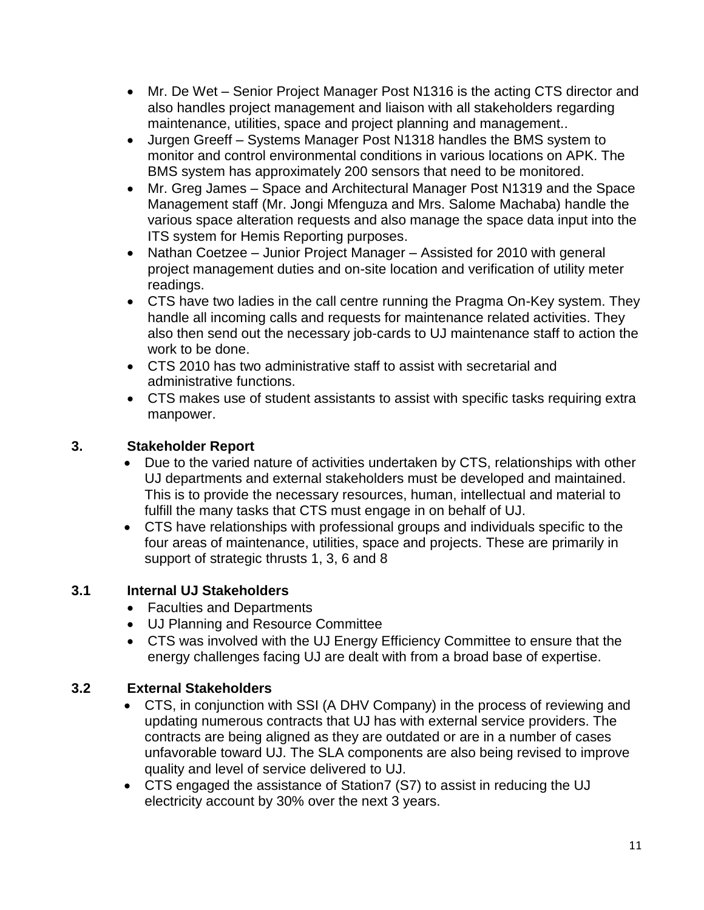- Mr. De Wet Senior Project Manager Post N1316 is the acting CTS director and also handles project management and liaison with all stakeholders regarding maintenance, utilities, space and project planning and management..
- Jurgen Greeff Systems Manager Post N1318 handles the BMS system to monitor and control environmental conditions in various locations on APK. The BMS system has approximately 200 sensors that need to be monitored.
- Mr. Greg James Space and Architectural Manager Post N1319 and the Space Management staff (Mr. Jongi Mfenguza and Mrs. Salome Machaba) handle the various space alteration requests and also manage the space data input into the ITS system for Hemis Reporting purposes.
- Nathan Coetzee Junior Project Manager Assisted for 2010 with general project management duties and on-site location and verification of utility meter readings.
- CTS have two ladies in the call centre running the Pragma On-Key system. They handle all incoming calls and requests for maintenance related activities. They also then send out the necessary job-cards to UJ maintenance staff to action the work to be done.
- CTS 2010 has two administrative staff to assist with secretarial and administrative functions.
- CTS makes use of student assistants to assist with specific tasks requiring extra manpower.

# **3. Stakeholder Report**

- Due to the varied nature of activities undertaken by CTS, relationships with other UJ departments and external stakeholders must be developed and maintained. This is to provide the necessary resources, human, intellectual and material to fulfill the many tasks that CTS must engage in on behalf of UJ.
- CTS have relationships with professional groups and individuals specific to the four areas of maintenance, utilities, space and projects. These are primarily in support of strategic thrusts 1, 3, 6 and 8

# **3.1 Internal UJ Stakeholders**

- Faculties and Departments
- UJ Planning and Resource Committee
- CTS was involved with the UJ Energy Efficiency Committee to ensure that the energy challenges facing UJ are dealt with from a broad base of expertise.

# **3.2 External Stakeholders**

- CTS, in conjunction with SSI (A DHV Company) in the process of reviewing and updating numerous contracts that UJ has with external service providers. The contracts are being aligned as they are outdated or are in a number of cases unfavorable toward UJ. The SLA components are also being revised to improve quality and level of service delivered to UJ.
- CTS engaged the assistance of Station7 (S7) to assist in reducing the UJ electricity account by 30% over the next 3 years.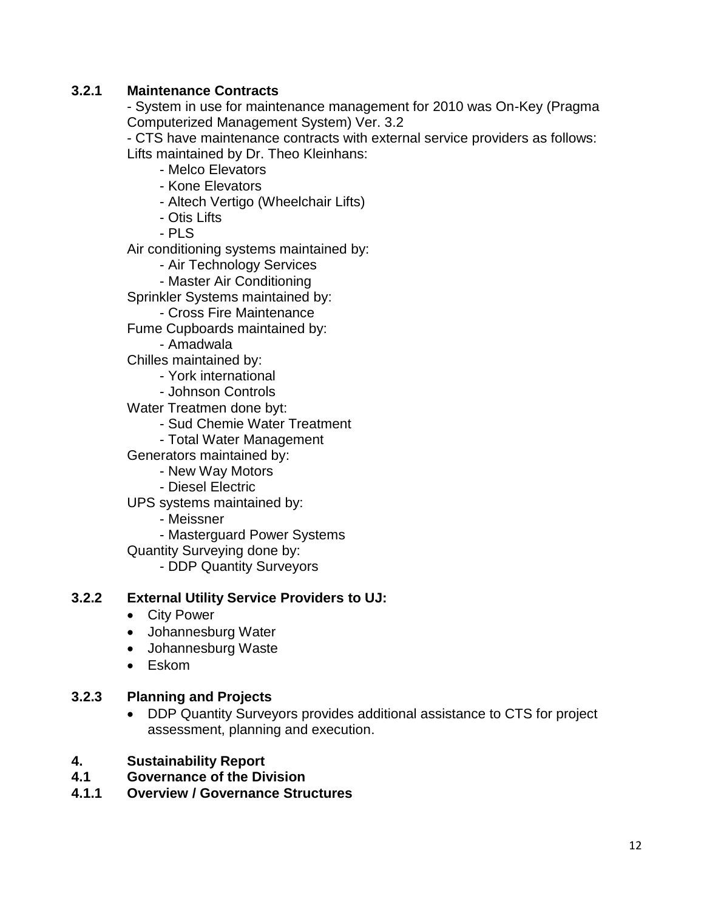### **3.2.1 Maintenance Contracts**

- System in use for maintenance management for 2010 was On-Key (Pragma Computerized Management System) Ver. 3.2

- CTS have maintenance contracts with external service providers as follows: Lifts maintained by Dr. Theo Kleinhans:

- Melco Elevators
- Kone Elevators
- Altech Vertigo (Wheelchair Lifts)
- Otis Lifts
- $-$  PLS

Air conditioning systems maintained by:

- Air Technology Services
- Master Air Conditioning

Sprinkler Systems maintained by:

- Cross Fire Maintenance
- Fume Cupboards maintained by:
	- Amadwala
- Chilles maintained by:
	- York international
	- Johnson Controls
- Water Treatmen done byt:
	- Sud Chemie Water Treatment
	- Total Water Management
- Generators maintained by:
	- New Way Motors
	- Diesel Electric
- UPS systems maintained by:
	- Meissner
	- Masterguard Power Systems
- Quantity Surveying done by:
	- DDP Quantity Surveyors

#### **3.2.2 External Utility Service Providers to UJ:**

- City Power
- Johannesburg Water
- Johannesburg Waste
- Eskom

#### **3.2.3 Planning and Projects**

- DDP Quantity Surveyors provides additional assistance to CTS for project assessment, planning and execution.
- **4. Sustainability Report**
- **4.1 Governance of the Division**
- **4.1.1 Overview / Governance Structures**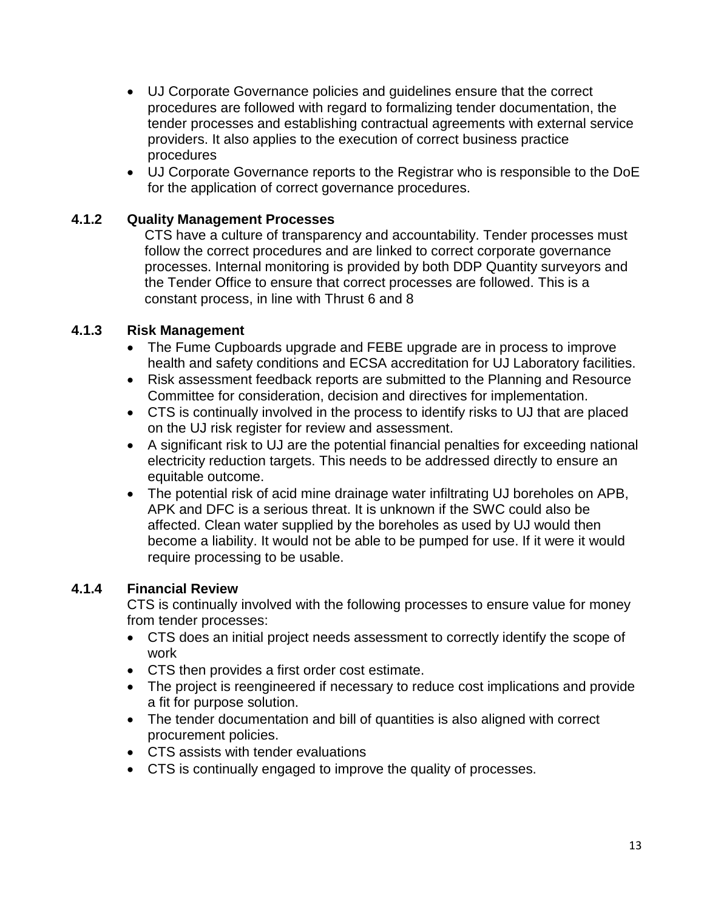- UJ Corporate Governance policies and guidelines ensure that the correct procedures are followed with regard to formalizing tender documentation, the tender processes and establishing contractual agreements with external service providers. It also applies to the execution of correct business practice procedures
- UJ Corporate Governance reports to the Registrar who is responsible to the DoE for the application of correct governance procedures.

#### **4.1.2 Quality Management Processes**

CTS have a culture of transparency and accountability. Tender processes must follow the correct procedures and are linked to correct corporate governance processes. Internal monitoring is provided by both DDP Quantity surveyors and the Tender Office to ensure that correct processes are followed. This is a constant process, in line with Thrust 6 and 8

#### **4.1.3 Risk Management**

- The Fume Cupboards upgrade and FEBE upgrade are in process to improve health and safety conditions and ECSA accreditation for UJ Laboratory facilities.
- Risk assessment feedback reports are submitted to the Planning and Resource Committee for consideration, decision and directives for implementation.
- CTS is continually involved in the process to identify risks to UJ that are placed on the UJ risk register for review and assessment.
- A significant risk to UJ are the potential financial penalties for exceeding national electricity reduction targets. This needs to be addressed directly to ensure an equitable outcome.
- The potential risk of acid mine drainage water infiltrating UJ boreholes on APB, APK and DFC is a serious threat. It is unknown if the SWC could also be affected. Clean water supplied by the boreholes as used by UJ would then become a liability. It would not be able to be pumped for use. If it were it would require processing to be usable.

#### **4.1.4 Financial Review**

CTS is continually involved with the following processes to ensure value for money from tender processes:

- CTS does an initial project needs assessment to correctly identify the scope of work
- CTS then provides a first order cost estimate.
- The project is reengineered if necessary to reduce cost implications and provide a fit for purpose solution.
- The tender documentation and bill of quantities is also aligned with correct procurement policies.
- CTS assists with tender evaluations
- CTS is continually engaged to improve the quality of processes.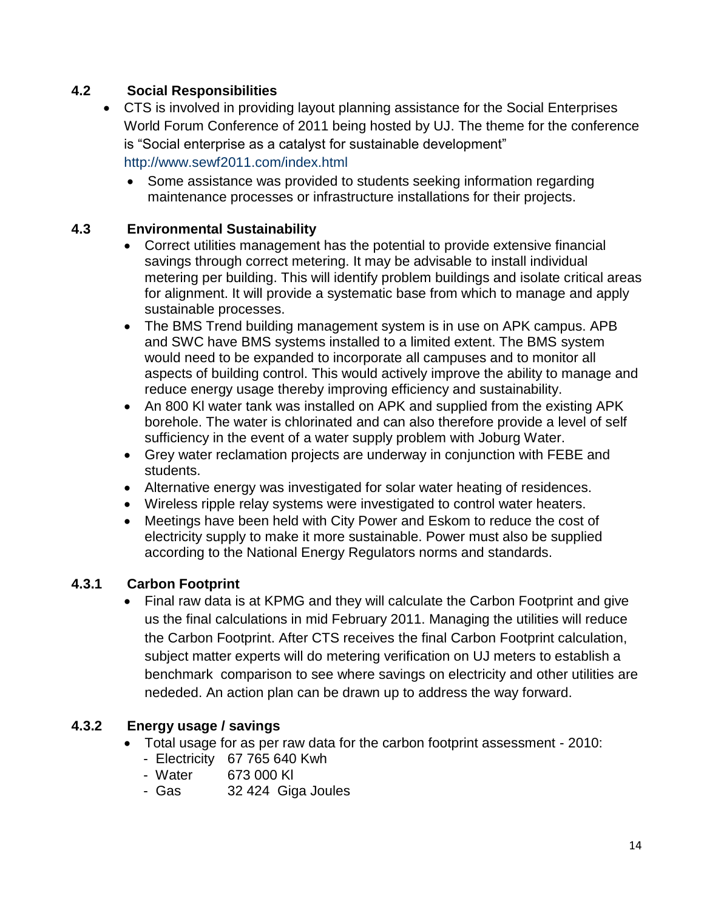## **4.2 Social Responsibilities**

- CTS is involved in providing layout planning assistance for the Social Enterprises World Forum Conference of 2011 being hosted by UJ. The theme for the conference is "Social enterprise as a catalyst for sustainable development" http://www.sewf2011.com/index.html
	- Some assistance was provided to students seeking information regarding maintenance processes or infrastructure installations for their projects.

#### **4.3 Environmental Sustainability**

- Correct utilities management has the potential to provide extensive financial savings through correct metering. It may be advisable to install individual metering per building. This will identify problem buildings and isolate critical areas for alignment. It will provide a systematic base from which to manage and apply sustainable processes.
- The BMS Trend building management system is in use on APK campus. APB and SWC have BMS systems installed to a limited extent. The BMS system would need to be expanded to incorporate all campuses and to monitor all aspects of building control. This would actively improve the ability to manage and reduce energy usage thereby improving efficiency and sustainability.
- An 800 KI water tank was installed on APK and supplied from the existing APK borehole. The water is chlorinated and can also therefore provide a level of self sufficiency in the event of a water supply problem with Joburg Water.
- Grey water reclamation projects are underway in conjunction with FEBE and students.
- Alternative energy was investigated for solar water heating of residences.
- Wireless ripple relay systems were investigated to control water heaters.
- Meetings have been held with City Power and Eskom to reduce the cost of electricity supply to make it more sustainable. Power must also be supplied according to the National Energy Regulators norms and standards.

### **4.3.1 Carbon Footprint**

 Final raw data is at KPMG and they will calculate the Carbon Footprint and give us the final calculations in mid February 2011. Managing the utilities will reduce the Carbon Footprint. After CTS receives the final Carbon Footprint calculation, subject matter experts will do metering verification on UJ meters to establish a benchmark comparison to see where savings on electricity and other utilities are nededed. An action plan can be drawn up to address the way forward.

### **4.3.2 Energy usage / savings**

- Total usage for as per raw data for the carbon footprint assessment 2010:
	- Electricity 67 765 640 Kwh
	- Water 673 000 Kl
	- Gas 32 424 Giga Joules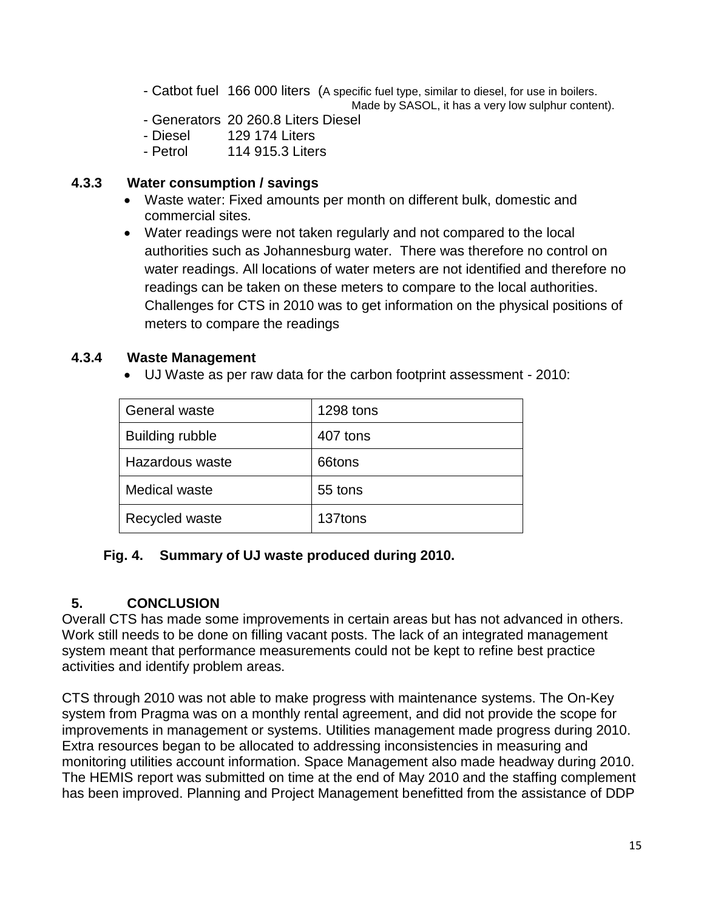- Catbot fuel 166 000 liters (A specific fuel type, similar to diesel, for use in boilers. Made by SASOL, it has a very low sulphur content).

- Generators 20 260.8 Liters Diesel

- Diesel 129 174 Liters
- Petrol 114 915.3 Liters

#### **4.3.3 Water consumption / savings**

- Waste water: Fixed amounts per month on different bulk, domestic and commercial sites.
- Water readings were not taken regularly and not compared to the local authorities such as Johannesburg water. There was therefore no control on water readings. All locations of water meters are not identified and therefore no readings can be taken on these meters to compare to the local authorities. Challenges for CTS in 2010 was to get information on the physical positions of meters to compare the readings

#### **4.3.4 Waste Management**

UJ Waste as per raw data for the carbon footprint assessment - 2010:

| <b>General waste</b>   | 1298 tons |
|------------------------|-----------|
| <b>Building rubble</b> | 407 tons  |
| Hazardous waste        | 66tons    |
| Medical waste          | 55 tons   |
| Recycled waste         | 137tons   |

### **Fig. 4. Summary of UJ waste produced during 2010.**

# **5. CONCLUSION**

Overall CTS has made some improvements in certain areas but has not advanced in others. Work still needs to be done on filling vacant posts. The lack of an integrated management system meant that performance measurements could not be kept to refine best practice activities and identify problem areas.

CTS through 2010 was not able to make progress with maintenance systems. The On-Key system from Pragma was on a monthly rental agreement, and did not provide the scope for improvements in management or systems. Utilities management made progress during 2010. Extra resources began to be allocated to addressing inconsistencies in measuring and monitoring utilities account information. Space Management also made headway during 2010. The HEMIS report was submitted on time at the end of May 2010 and the staffing complement has been improved. Planning and Project Management benefitted from the assistance of DDP